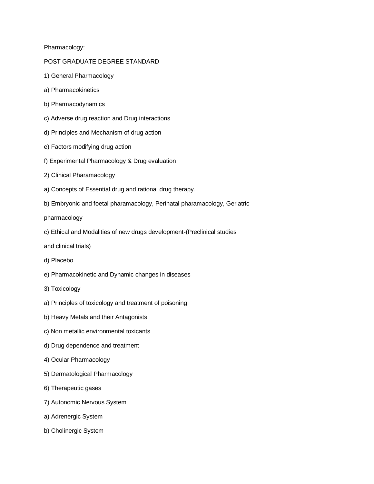Pharmacology:

## POST GRADUATE DEGREE STANDARD

- 1) General Pharmacology
- a) Pharmacokinetics
- b) Pharmacodynamics
- c) Adverse drug reaction and Drug interactions
- d) Principles and Mechanism of drug action
- e) Factors modifying drug action
- f) Experimental Pharmacology & Drug evaluation
- 2) Clinical Pharamacology
- a) Concepts of Essential drug and rational drug therapy.
- b) Embryonic and foetal pharamacology, Perinatal pharamacology, Geriatric

pharmacology

- c) Ethical and Modalities of new drugs development-(Preclinical studies
- and clinical trials)
- d) Placebo
- e) Pharmacokinetic and Dynamic changes in diseases
- 3) Toxicology
- a) Principles of toxicology and treatment of poisoning
- b) Heavy Metals and their Antagonists
- c) Non metallic environmental toxicants
- d) Drug dependence and treatment
- 4) Ocular Pharmacology
- 5) Dermatological Pharmacology
- 6) Therapeutic gases
- 7) Autonomic Nervous System
- a) Adrenergic System
- b) Cholinergic System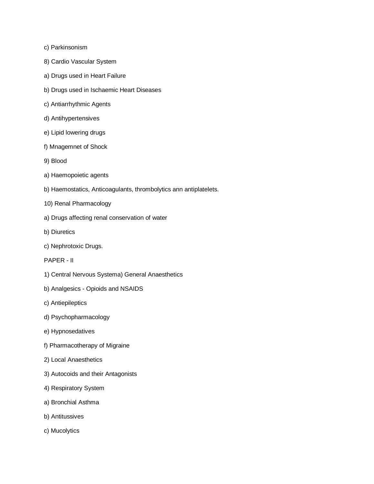- c) Parkinsonism
- 8) Cardio Vascular System
- a) Drugs used in Heart Failure
- b) Drugs used in Ischaemic Heart Diseases
- c) Antiarrhythmic Agents
- d) Antihypertensives
- e) Lipid lowering drugs
- f) Mnagemnet of Shock
- 9) Blood
- a) Haemopoietic agents
- b) Haemostatics, Anticoagulants, thrombolytics ann antiplatelets.
- 10) Renal Pharmacology
- a) Drugs affecting renal conservation of water
- b) Diuretics
- c) Nephrotoxic Drugs.
- PAPER II
- 1) Central Nervous Systema) General Anaesthetics
- b) Analgesics Opioids and NSAIDS
- c) Antiepileptics
- d) Psychopharmacology
- e) Hypnosedatives
- f) Pharmacotherapy of Migraine
- 2) Local Anaesthetics
- 3) Autocoids and their Antagonists
- 4) Respiratory System
- a) Bronchial Asthma
- b) Antitussives
- c) Mucolytics